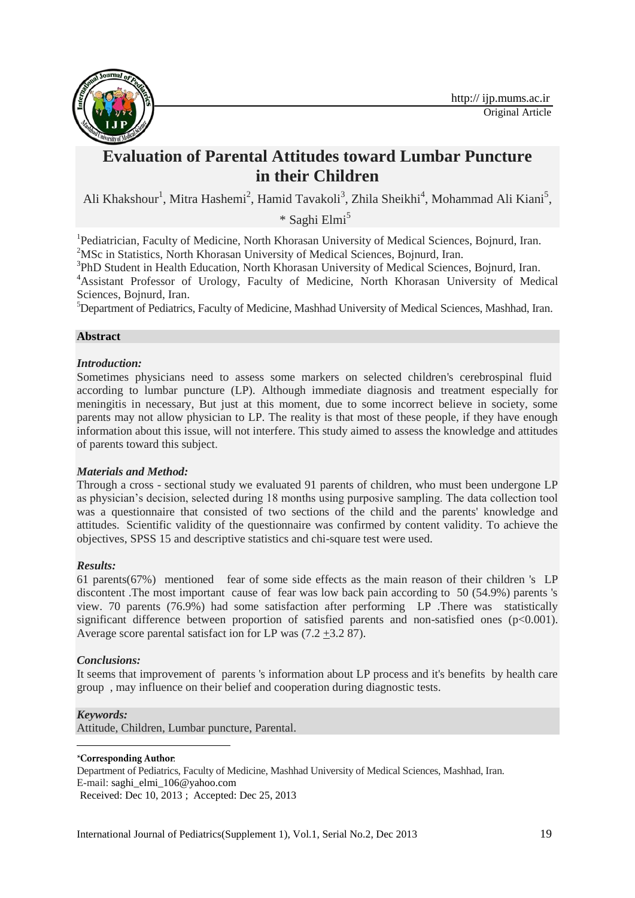

# **Evaluation of Parental Attitudes toward Lumbar Puncture in their Children**

Ali Khakshour<sup>1</sup>, Mitra Hashemi<sup>2</sup>, Hamid Tavakoli<sup>3</sup>, Zhila Sheikhi<sup>4</sup>, Mohammad Ali Kiani<sup>5</sup>,

\* Saghi Elmi<sup>51</sup>

<sup>1</sup>Pediatrician, Faculty of Medicine, North Khorasan University of Medical Sciences, Bojnurd, Iran. <sup>2</sup>MSc in Statistics, North Khorasan University of Medical Sciences, Bojnurd, Iran.

<sup>3</sup>PhD Student in Health Education, North Khorasan University of Medical Sciences, Bojnurd, Iran. <sup>4</sup>Assistant Professor of Urology, Faculty of Medicine, North Khorasan University of Medical Sciences, Bojnurd, Iran.

<sup>5</sup>Department of Pediatrics, Faculty of Medicine, Mashhad University of Medical Sciences, Mashhad, Iran.

## **Abstract**

## *Introduction:*

Sometimes physicians need to assess some markers on selected children's cerebrospinal fluid according to lumbar puncture (LP). Although immediate diagnosis and treatment especially for meningitis in necessary, But just at this moment, due to some incorrect believe in society, some parents may not allow physician to LP. The reality is that most of these people, if they have enough information about this issue, will not interfere. This study aimed to assess the knowledge and attitudes of parents toward this subject.

## *Materials and Method:*

Through a cross - sectional study we evaluated 91 parents of children, who must been undergone LP as physician's decision, selected during 18 months using purposive sampling. The data collection tool was a questionnaire that consisted of two sections of the child and the parents' knowledge and attitudes. Scientific validity of the questionnaire was confirmed by content validity. To achieve the objectives, SPSS 15 and descriptive statistics and chi-square test were used.

## *Results:*

61 parents(67%) mentioned fear of some side effects as the main reason of their children 's LP discontent .The most important cause of fear was low back pain according to 50 (54.9%) parents 's view. 70 parents (76.9%) had some satisfaction after performing LP .There was statistically significant difference between proportion of satisfied parents and non-satisfied ones (p<0.001). Average score parental satisfact ion for LP was  $(7.2 \pm 3.287)$ .

## *Conclusions:*

It seems that improvement of parents 's information about LP process and it's benefits by health care group , may influence on their belief and cooperation during diagnostic tests.

## *Keywords:*

**.** 

Attitude, Children, Lumbar puncture, Parental.

## \*Corresponding Author:

Department of Pediatrics, Faculty of Medicine, Mashhad University of Medical Sciences, Mashhad, Iran. E-mail: [saghi\\_elmi\\_106@yahoo.com](mailto:saghi_elmi_106@yahoo.com)

Received: Dec 10, 2013 ; Accepted: Dec 25, 2013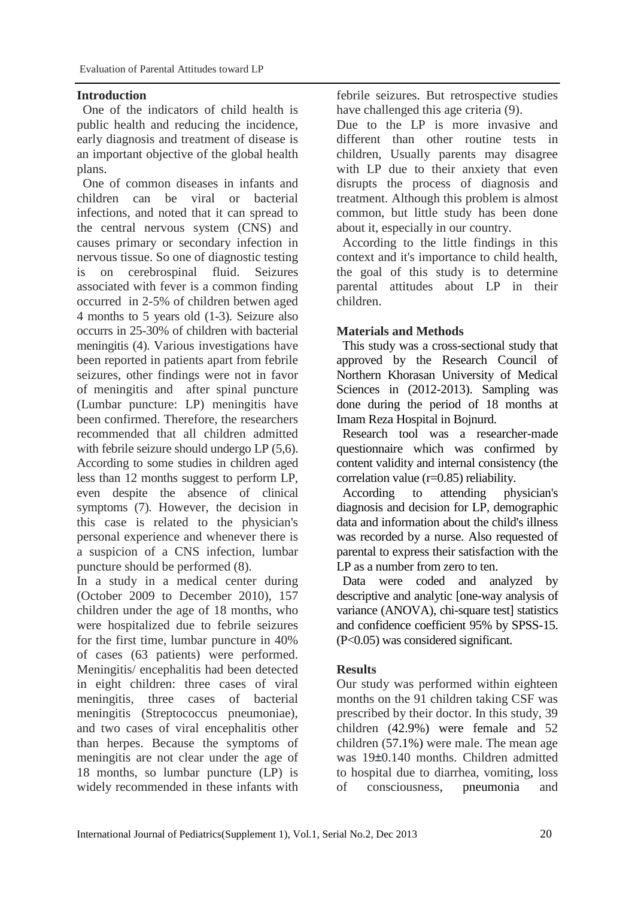## **Introduction**

One of the indicators of child health is public health and reducing the incidence, early diagnosis and treatment of disease is an important objective of the global health plans.

One of common diseases in infants and children can be viral or bacterial infections, and noted that it can spread to the central nervous system (CNS) and causes primary or secondary infection in nervous tissue. So one of diagnostic testing is on cerebrospinal fluid. Seizures associated with fever is a common finding occurred in 2-5% of children betwen aged 4 months to 5 years old (1-3). Seizure also occurrs in 25-30% of children with bacterial meningitis (4). Various investigations have been reported in patients apart from febrile seizures, other findings were not in favor of meningitis and after spinal puncture (Lumbar puncture: LP) meningitis have been confirmed. Therefore, the researchers recommended that all children admitted with febrile seizure should undergo LP  $(5,6)$ . According to some studies in children aged less than 12 months suggest to perform LP, even despite the absence of clinical symptoms (7). However, the decision in this case is related to the physician's personal experience and whenever there is a suspicion of a CNS infection, lumbar puncture should be performed (8).

In a study in a medical center during (October 2009 to December 2010), 157 children under the age of 18 months, who were hospitalized due to febrile seizures for the first time, lumbar puncture in 40% of cases (63 patients) were performed. Meningitis/ encephalitis had been detected in eight children: three cases of viral meningitis, three cases of bacterial meningitis (Streptococcus pneumoniae), and two cases of viral encephalitis other than herpes. Because the symptoms of meningitis are not clear under the age of 18 months, so lumbar puncture (LP) is widely recommended in these infants with febrile seizures. But retrospective studies have challenged this age criteria (9).

Due to the LP is more invasive and different than other routine tests in children, Usually parents may disagree with LP due to their anxiety that even disrupts the process of diagnosis and treatment. Although this problem is almost common, but little study has been done about it, especially in our country.

According to the little findings in this context and it's importance to child health, the goal of this study is to determine parental attitudes about LP in their children.

## **Materials and Methods**

This study was a cross-sectional study that approved by the Research Council of Northern Khorasan University of Medical Sciences in (2012-2013). Sampling was done during the period of 18 months at Imam Reza Hospital in Bojnurd.

Research tool was a researcher-made questionnaire which was confirmed by content validity and internal consistency (the correlation value (r=0.85) reliability.

According to attending physician's diagnosis and decision for LP, demographic data and information about the child's illness was recorded by a nurse. Also requested of parental to express their satisfaction with the LP as a number from zero to ten.

Data were coded and analyzed by descriptive and analytic [one-way analysis of variance (ANOVA), chi-square test] statistics and confidence coefficient 95% by SPSS-15. (P<0.05) was considered significant.

## **Results**

Our study was performed within eighteen months on the 91 children taking CSF was prescribed by their doctor. In this study, 39 children (42.9%) were female and 52 children (57.1%) were male. The mean age was 19±0.140 months. Children admitted to hospital due to diarrhea, vomiting, loss of consciousness, pneumonia and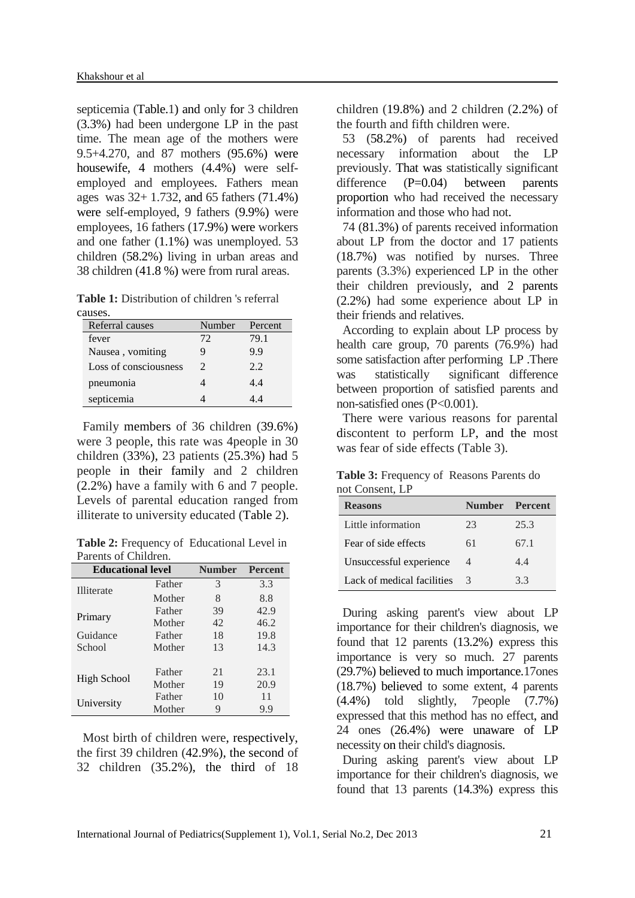septicemia (Table.1) and only for 3 children (3.3%) had been undergone LP in the past time. The mean age of the mothers were 9.5+4.270, and 87 mothers (95.6%) were housewife, 4 mothers (4.4%) were selfemployed and employees. Fathers mean ages was 32+ 1.732, and 65 fathers (71.4%) were self-employed, 9 fathers (9.9%) were employees, 16 fathers (17.9%) were workers and one father (1.1%) was unemployed. 53 children (58.2%) living in urban areas and 38 children (41.8 %) were from rural areas.

**Table 1:** Distribution of children 's referral causes.

| Referral causes       | Number | Percent |
|-----------------------|--------|---------|
| fever                 | 72     | 79.1    |
| Nausea, vomiting      |        | 9.9     |
| Loss of consciousness | 2      | 2.2     |
| pneumonia             |        | 4.4     |
| septicemia            |        | 44      |

Family members of 36 children (39.6%) were 3 people, this rate was 4people in 30 children (33%), 23 patients (25.3%) had 5 people in their family and 2 children (2.2%) have a family with 6 and 7 people. Levels of parental education ranged from illiterate to university educated (Table 2).

**Table 2:** Frequency of Educational Level in Parents of Children.

| <b>Educational level</b> |        | <b>Number</b> | <b>Percent</b> |
|--------------------------|--------|---------------|----------------|
| <b>Illiterate</b>        | Father | 3             | 3.3            |
|                          | Mother | 8             | 8.8            |
| Primary                  | Father | 39            | 42.9           |
|                          | Mother | 42            | 46.2           |
| Guidance                 | Father | 18            | 19.8           |
| School                   | Mother | 13            | 14.3           |
|                          |        |               |                |
| <b>High School</b>       | Father | 21            | 23.1           |
|                          | Mother | 19            | 20.9           |
| University               | Father | 10            | 11             |
|                          | Mother | 9             | 9.9            |

Most birth of children were, respectively, the first 39 children (42.9%), the second of 32 children (35.2%), the third of 18

children (19.8%) and 2 children (2.2%) of the fourth and fifth children were.

53 (58.2%) of parents had received necessary information about the LP previously. That was statistically significant difference  $(P=0.04)$  between parents proportion who had received the necessary information and those who had not.

74 (81.3%) of parents received information about LP from the doctor and 17 patients (18.7%) was notified by nurses. Three parents (3.3%) experienced LP in the other their children previously, and 2 parents (2.2%) had some experience about LP in their friends and relatives.

According to explain about LP process by health care group, 70 parents (76.9%) had some satisfaction after performing LP .There was statistically significant difference between proportion of satisfied parents and non-satisfied ones (P<0.001).

There were various reasons for parental discontent to perform LP, and the most was fear of side effects (Table 3).

**Table 3:** Frequency of Reasons Parents do not Consent, LP

| <b>Reasons</b>             | Number Percent |      |
|----------------------------|----------------|------|
| Little information         | 23             | 25.3 |
| Fear of side effects       | 61             | 67.1 |
| Unsuccessful experience    | 4              | 44   |
| Lack of medical facilities | 3              | 33   |

During asking parent's view about LP importance for their children's diagnosis, we found that 12 parents (13.2%) express this importance is very so much. 27 parents (29.7%) believed to much importance.17ones (18.7%) believed to some extent, 4 parents (4.4%) told slightly, 7people (7.7%) expressed that this method has no effect, and 24 ones (26.4%) were unaware of LP necessity on their child's diagnosis.

During asking parent's view about LP importance for their children's diagnosis, we found that 13 parents (14.3%) express this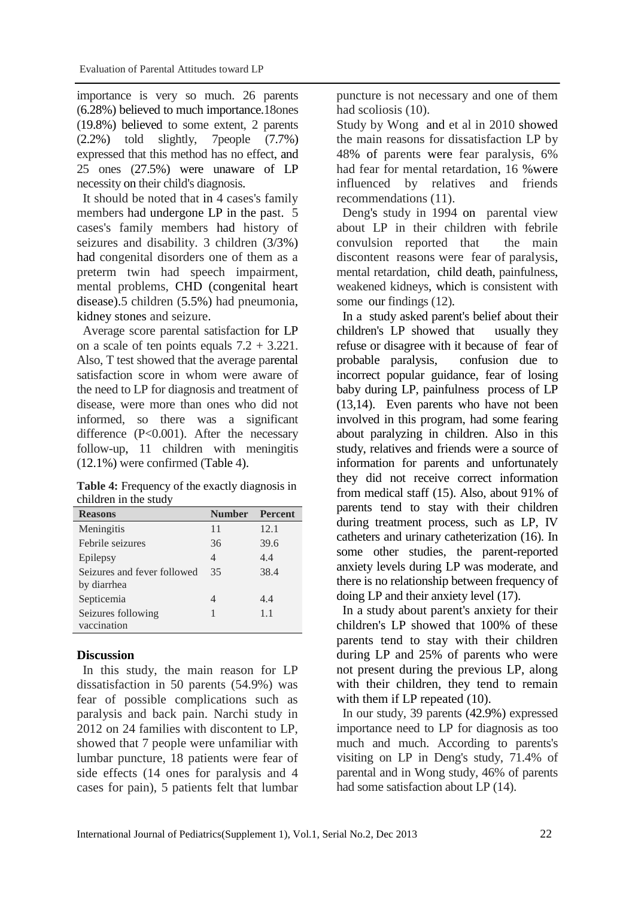importance is very so much. 26 parents (6.28%) believed to much importance.18ones (19.8%) believed to some extent, 2 parents (2.2%) told slightly, 7people (7.7%) expressed that this method has no effect, and 25 ones (27.5%) were unaware of LP necessity on their child's diagnosis.

It should be noted that in 4 cases's family members had undergone LP in the past. 5 cases's family members had history of seizures and disability. 3 children (3/3%) had congenital disorders one of them as a preterm twin had speech impairment, mental problems, CHD (congenital heart disease).5 children (5.5%) had pneumonia, kidney stones and seizure.

Average score parental satisfaction for LP on a scale of ten points equals  $7.2 + 3.221$ . Also, T test showed that the average parental satisfaction score in whom were aware of the need to LP for diagnosis and treatment of disease, were more than ones who did not informed, so there was a significant difference (P<0.001). After the necessary follow-up, 11 children with meningitis (12.1%) were confirmed (Table 4).

**Table 4:** Frequency of the exactly diagnosis in children in the study

| <b>Reasons</b>              | <b>Number</b> | <b>Percent</b> |
|-----------------------------|---------------|----------------|
| Meningitis                  | 11            | 12.1           |
| Febrile seizures            | 36            | 39.6           |
| Epilepsy                    | 4             | 4.4            |
| Seizures and fever followed | 35            | 38.4           |
| by diarrhea                 |               |                |
| Septicemia                  | 4             | 4.4            |
| Seizures following          | 1             | 1.1            |
| vaccination                 |               |                |

## **Discussion**

In this study, the main reason for LP dissatisfaction in 50 parents (54.9%) was fear of possible complications such as paralysis and back pain. Narchi study in 2012 on 24 families with discontent to LP, showed that 7 people were unfamiliar with lumbar puncture, 18 patients were fear of side effects (14 ones for paralysis and 4 cases for pain), 5 patients felt that lumbar

puncture is not necessary and one of them had scoliosis  $(10)$ .

Study by Wong and et al in 2010 showed the main reasons for dissatisfaction LP by 48% of parents were fear paralysis, 6% had fear for mental retardation, 16 %were influenced by relatives and friends recommendations (11).

Deng's study in 1994 on parental view about LP in their children with febrile convulsion reported that the main discontent reasons were fear of paralysis, mental retardation, child death, painfulness, weakened kidneys, which is consistent with some our findings (12).

In a study asked parent's belief about their children's LP showed that usually they refuse or disagree with it because of fear of probable paralysis, confusion due to incorrect popular guidance, fear of losing baby during LP, painfulness process of LP (13,14). Even parents who have not been involved in this program, had some fearing about paralyzing in children. Also in this study, relatives and friends were a source of information for parents and unfortunately they did not receive correct information from medical staff (15). Also, about 91% of parents tend to stay with their children during treatment process, such as LP, IV catheters and urinary catheterization (16). In some other studies, the parent-reported anxiety levels during LP was moderate, and there is no relationship between frequency of doing LP and their anxiety level (17).

In a study about parent's anxiety for their children's LP showed that 100% of these parents tend to stay with their children during LP and 25% of parents who were not present during the previous LP, along with their children, they tend to remain with them if LP repeated (10).

In our study, 39 parents (42.9%) expressed importance need to LP for diagnosis as too much and much. According to parents's visiting on LP in Deng's study, 71.4% of parental and in Wong study, 46% of parents had some satisfaction about LP (14).